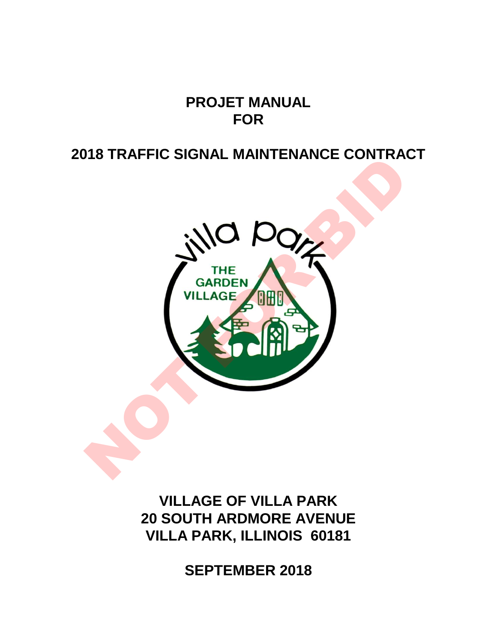# **PROJET MANUAL FOR**

# **2018 TRAFFIC SIGNAL MAINTENANCE CONTRACT**



**VILLAGE OF VILLA PARK 20 SOUTH ARDMORE AVENUE VILLA PARK, ILLINOIS 60181**

**SEPTEMBER 2018**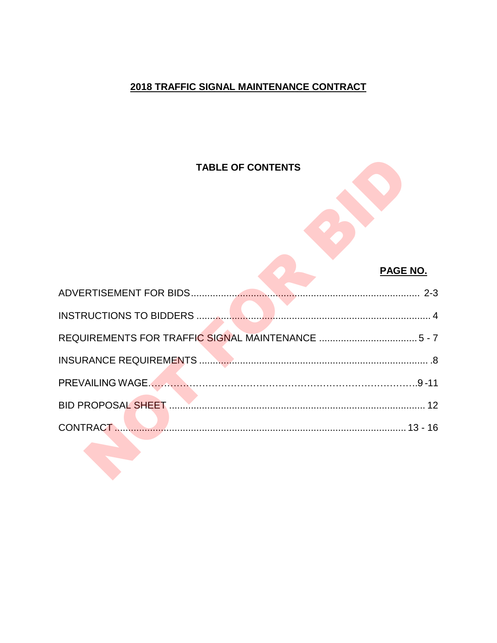## 2018 TRAFFIC SIGNAL MAINTENANCE CONTRACT

## **TABLE OF CONTENTS**

### **PAGE NO.**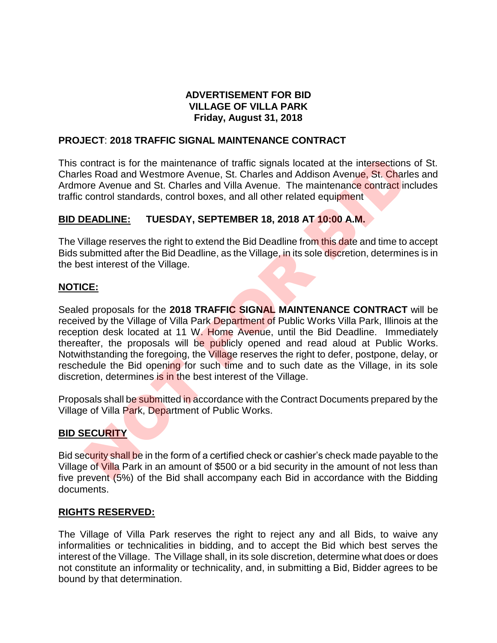#### **ADVERTISEMENT FOR BID VILLAGE OF VILLA PARK Friday, August 31, 2018**

#### **PROJECT**: **2018 TRAFFIC SIGNAL MAINTENANCE CONTRACT**

This contract is for the maintenance of traffic signals located at the intersections of St. Charles Road and Westmore Avenue, St. Charles and Addison Avenue, St. Charles and Ardmore Avenue and St. Charles and Villa Avenue. The maintenance contract includes traffic control standards, control boxes, and all other related equipment

#### **BID DEADLINE: TUESDAY, SEPTEMBER 18, 2018 AT 10:00 A.M.**

The Village reserves the right to extend the Bid Deadline from this date and time to accept Bids submitted after the Bid Deadline, as the Village, in its sole discretion, determines is in the best interest of the Village.

#### **NOTICE:**

Sealed proposals for the **2018 TRAFFIC SIGNAL MAINTENANCE CONTRACT** will be received by the Village of Villa Park Department of Public Works Villa Park, Illinois at the reception desk located at 11 W. Home Avenue, until the Bid Deadline. Immediately thereafter, the proposals will be publicly opened and read aloud at Public Works. Notwithstanding the foregoing, the Village reserves the right to defer, postpone, delay, or reschedule the Bid opening for such time and to such date as the Village, in its sole discretion, determines is in the best interest of the Village. contract is for the maintenance of traffic signals located at the intersections<br>
Since and Westmore Avenue, St. Charles and Addison Avenue, St. Charles and Nilla Avenue. The maintenance contract<br>
control standards, control

Proposals shall be submitted in accordance with the Contract Documents prepared by the Village of Villa Park, Department of Public Works.

#### **BID SECURITY**

Bid security shall be in the form of a certified check or cashier's check made payable to the Village of Villa Park in an amount of \$500 or a bid security in the amount of not less than five prevent (5%) of the Bid shall accompany each Bid in accordance with the Bidding documents.

#### **RIGHTS RESERVED:**

The Village of Villa Park reserves the right to reject any and all Bids, to waive any informalities or technicalities in bidding, and to accept the Bid which best serves the interest of the Village. The Village shall, in its sole discretion, determine what does or does not constitute an informality or technicality, and, in submitting a Bid, Bidder agrees to be bound by that determination.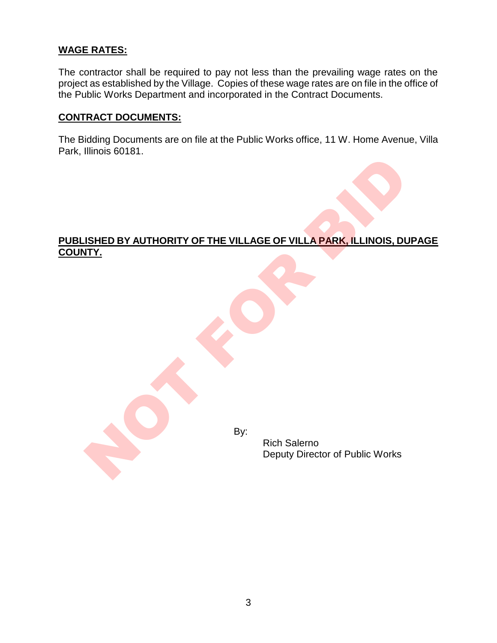#### **WAGE RATES:**

The contractor shall be required to pay not less than the prevailing wage rates on the project as established by the Village. Copies of these wage rates are on file in the office of the Public Works Department and incorporated in the Contract Documents.

#### **CONTRACT DOCUMENTS:**

The Bidding Documents are on file at the Public Works office, 11 W. Home Avenue, Villa Park, Illinois 60181.

# **PUBLISHED BY AUTHORITY OF THE VILLAGE OF VILLA PARK, ILLINOIS, DUPAGE COUNTY.** SHED BY AUTHORITY OF THE VILLAGE OF VILLA PARK, ILLINOIS, DU<br>
TIY.<br>
By:<br>
By:<br>
Rich Salemo<br>
Deputy Director of Public Works

By:

Rich Salerno Deputy Director of Public Works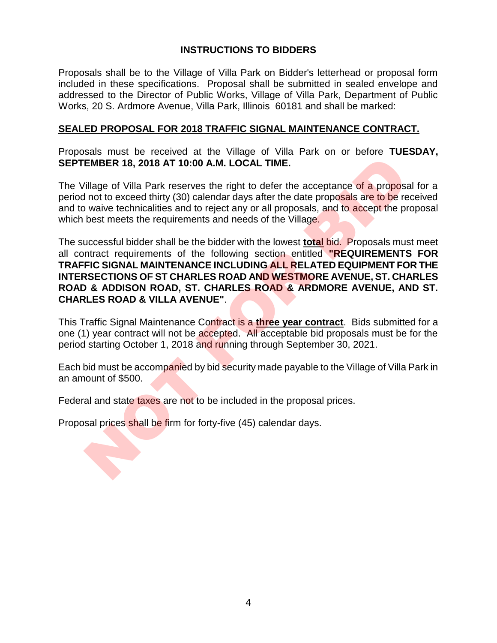#### **INSTRUCTIONS TO BIDDERS**

Proposals shall be to the Village of Villa Park on Bidder's letterhead or proposal form included in these specifications. Proposal shall be submitted in sealed envelope and addressed to the Director of Public Works, Village of Villa Park, Department of Public Works, 20 S. Ardmore Avenue, Villa Park, Illinois 60181 and shall be marked:

#### **SEALED PROPOSAL FOR 2018 TRAFFIC SIGNAL MAINTENANCE CONTRACT.**

Proposals must be received at the Village of Villa Park on or before **TUESDAY, SEPTEMBER 18, 2018 AT 10:00 A.M. LOCAL TIME.**

The Village of Villa Park reserves the right to defer the acceptance of a proposal for a period not to exceed thirty (30) calendar days after the date proposals are to be received and to waive technicalities and to reject any or all proposals, and to accept the proposal which best meets the requirements and needs of the Village.

The successful bidder shall be the bidder with the lowest **total** bid. Proposals must meet all contract requirements of the following section entitled **"REQUIREMENTS FOR TRAFFIC SIGNAL MAINTENANCE INCLUDING ALL RELATED EQUIPMENT FOR THE INTERSECTIONS OF ST CHARLES ROAD AND WESTMORE AVENUE, ST. CHARLES ROAD & ADDISON ROAD, ST. CHARLES ROAD & ARDMORE AVENUE, AND ST. CHARLES ROAD & VILLA AVENUE"**. EMBER 18, 2018 AT 10:00 A.M. LOCAL TIME.<br>
"illage of Villa Park reserves the right to defer the acceptance of a propose<br>
not to exceed thirty (30) calendar days after the date proposals are to be re<br>
wive technicalities an

This Traffic Signal Maintenance Contract is a **three year contract**. Bids submitted for a one (1) year contract will not be accepted. All acceptable bid proposals must be for the period starting October 1, 2018 and running through September 30, 2021.

Each bid must be accompanied by bid security made payable to the Village of Villa Park in an amount of \$500.

Federal and state taxes are not to be included in the proposal prices.

Proposal prices shall be firm for forty-five (45) calendar days.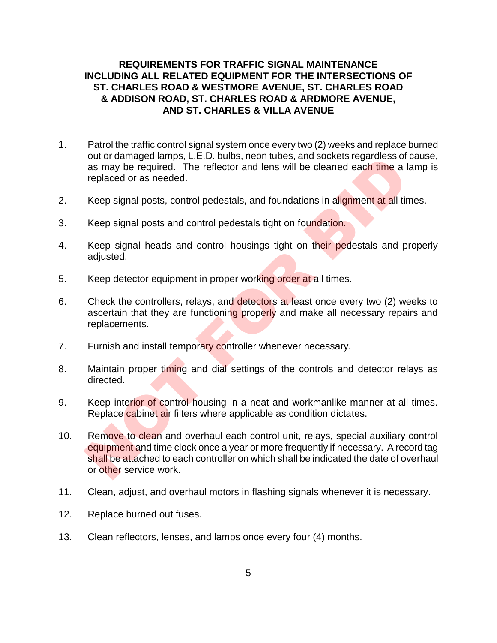#### **REQUIREMENTS FOR TRAFFIC SIGNAL MAINTENANCE INCLUDING ALL RELATED EQUIPMENT FOR THE INTERSECTIONS OF ST. CHARLES ROAD & WESTMORE AVENUE, ST. CHARLES ROAD & ADDISON ROAD, ST. CHARLES ROAD & ARDMORE AVENUE, AND ST. CHARLES & VILLA AVENUE**

- 1. Patrol the traffic control signal system once every two (2) weeks and replace burned out or damaged lamps, L.E.D. bulbs, neon tubes, and sockets regardless of cause, as may be required. The reflector and lens will be cleaned each time a lamp is replaced or as needed.
- 2. Keep signal posts, control pedestals, and foundations in alignment at all times.
- 3. Keep signal posts and control pedestals tight on foundation.
- 4. Keep signal heads and control housings tight on their pedestals and properly adjusted.
- 5. Keep detector equipment in proper working order at all times.
- 6. Check the controllers, relays, and detectors at least once every two (2) weeks to ascertain that they are functioning properly and make all necessary repairs and replacements.
- 7. Furnish and install temporary controller whenever necessary.
- 8. Maintain proper timing and dial settings of the controls and detector relays as directed.
- 9. Keep interior of control housing in a neat and workmanlike manner at all times. Replace cabinet air filters where applicable as condition dictates.
- 10. Remove to clean and overhaul each control unit, relays, special auxiliary control equipment and time clock once a year or more frequently if necessary. A record tag shall be attached to each controller on which shall be indicated the date of overhaul or other service work. out of daintigetal affilips, L.E.D. butus, heori tubes, and sockets regarderess on<br>as may be required. The reflector and lens will be cleaned each time a l<br>replaced or as needed.<br>Keep signal posts and control pedestals tig
- 11. Clean, adjust, and overhaul motors in flashing signals whenever it is necessary.
- 12. Replace burned out fuses.
- 13. Clean reflectors, lenses, and lamps once every four (4) months.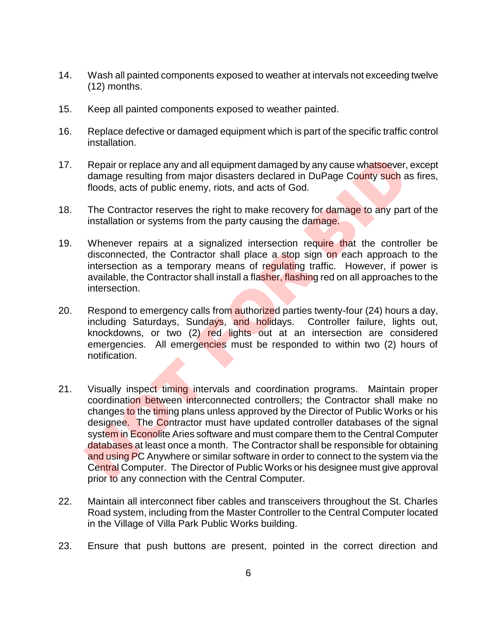- 14. Wash all painted components exposed to weather at intervals not exceeding twelve (12) months.
- 15. Keep all painted components exposed to weather painted.
- 16. Replace defective or damaged equipment which is part of the specific traffic control installation.
- 17. Repair or replace any and all equipment damaged by any cause whatsoever, except damage resulting from major disasters declared in DuPage County such as fires, floods, acts of public enemy, riots, and acts of God.
- 18. The Contractor reserves the right to make recovery for damage to any part of the installation or systems from the party causing the damage.
- 19. Whenever repairs at a signalized intersection require that the controller be disconnected, the Contractor shall place a stop sign on each approach to the intersection as a temporary means of regulating traffic. However, if power is available, the Contractor shall install a flasher, flashing red on all approaches to the intersection.
- 20. Respond to emergency calls from authorized parties twenty-four (24) hours a day, including Saturdays, Sundays, and holidays. Controller failure, lights out, knockdowns, or two (2) red lights out at an intersection are considered emergencies. All emergencies must be responded to within two (2) hours of notification.
- 21. Visually inspect timing intervals and coordination programs. Maintain proper coordination between interconnected controllers; the Contractor shall make no changes to the timing plans unless approved by the Director of Public Works or his designee. The Contractor must have updated controller databases of the signal system in Econolite Aries software and must compare them to the Central Computer databases at least once a month. The Contractor shall be responsible for obtaining and using PC Anywhere or similar software in order to connect to the system via the Central Computer. The Director of Public Works or his designee must give approval prior to any connection with the Central Computer. Repair or replace any and all equipment damaged by any cause whatsoever,<br>damage resulting from major disasters declared in DuPage County such a<br>floods, acts of public enemy, riots, and acts of God.<br>The Contractor researse
- 22. Maintain all interconnect fiber cables and transceivers throughout the St. Charles Road system, including from the Master Controller to the Central Computer located in the Village of Villa Park Public Works building.
- 23. Ensure that push buttons are present, pointed in the correct direction and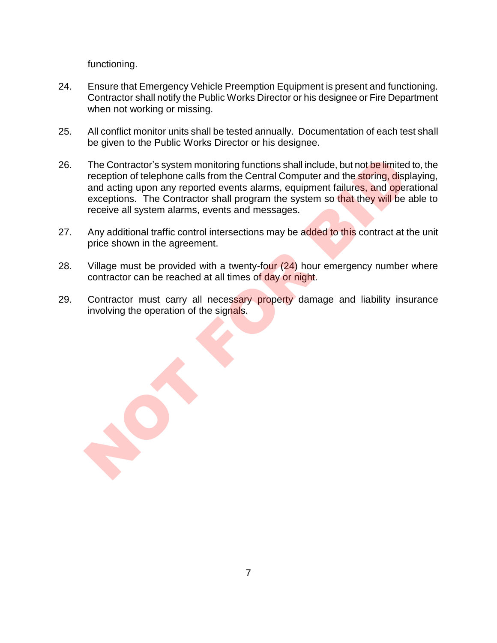functioning.

- 24. Ensure that Emergency Vehicle Preemption Equipment is present and functioning. Contractor shall notify the Public Works Director or his designee or Fire Department when not working or missing.
- 25. All conflict monitor units shall be tested annually. Documentation of each test shall be given to the Public Works Director or his designee.
- 26. The Contractor's system monitoring functions shall include, but not be limited to, the reception of telephone calls from the Central Computer and the storing, displaying, and acting upon any reported events alarms, equipment failures, and operational exceptions. The Contractor shall program the system so that they will be able to receive all system alarms, events and messages. The Contractor's system monitoring functions shall include, but not be limited reception of telephone calls from the Central Computer and the storing, dispendent and actrig upon any reported events alarms, equipment failur
- 27. Any additional traffic control intersections may be added to this contract at the unit price shown in the agreement.
- 28. Village must be provided with a twenty-four  $(24)$  hour emergency number where contractor can be reached at all times of day or night.
- 29. Contractor must carry all necessary property damage and liability insurance involving the operation of the signals.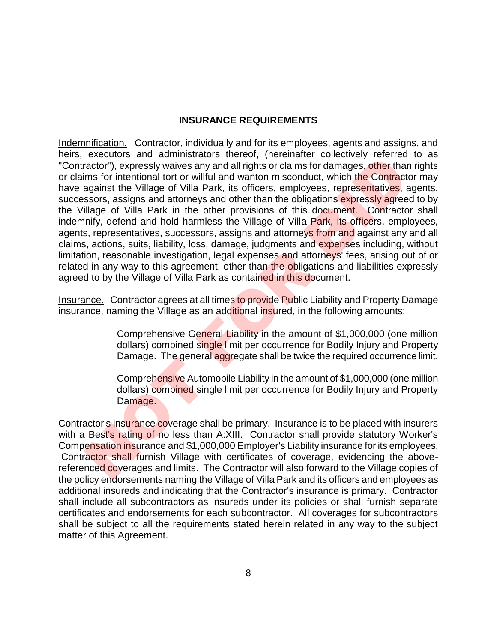#### **INSURANCE REQUIREMENTS**

Indemnification. Contractor, individually and for its employees, agents and assigns, and heirs, executors and administrators thereof, (hereinafter collectively referred to as "Contractor"), expressly waives any and all rights or claims for damages, other than rights or claims for intentional tort or willful and wanton misconduct, which the Contractor may have against the Village of Villa Park, its officers, employees, representatives, agents, successors, assigns and attorneys and other than the obligations expressly agreed to by the Village of Villa Park in the other provisions of this document. Contractor shall indemnify, defend and hold harmless the Village of Villa Park, its officers, employees, agents, representatives, successors, assigns and attorneys from and against any and all claims, actions, suits, liability, loss, damage, judgments and expenses including, without limitation, reasonable investigation, legal expenses and attorneys' fees, arising out of or related in any way to this agreement, other than the obligations and liabilities expressly agreed to by the Village of Villa Park as contained in this document. executions and animismators direct interior in the prime to the mean the contractor"), expressly waives any and all rights or claims for damages, ofthe r hand the contract casors, assigns and attomeys and other than the ob

Insurance. Contractor agrees at all times to provide Public Liability and Property Damage insurance, naming the Village as an additional insured, in the following amounts:

> Comprehensive General Liability in the amount of \$1,000,000 (one million dollars) combined single limit per occurrence for Bodily Injury and Property Damage. The general aggregate shall be twice the required occurrence limit.

> Comprehensive Automobile Liability in the amount of \$1,000,000 (one million dollars) combined single limit per occurrence for Bodily Injury and Property Damage.

Contractor's insurance coverage shall be primary. Insurance is to be placed with insurers with a Best's rating of no less than A:XIII. Contractor shall provide statutory Worker's Compensation insurance and \$1,000,000 Employer's Liability insurance for its employees. Contractor shall furnish Village with certificates of coverage, evidencing the abovereferenced coverages and limits. The Contractor will also forward to the Village copies of the policy endorsements naming the Village of Villa Park and its officers and employees as additional insureds and indicating that the Contractor's insurance is primary. Contractor shall include all subcontractors as insureds under its policies or shall furnish separate certificates and endorsements for each subcontractor. All coverages for subcontractors shall be subject to all the requirements stated herein related in any way to the subject matter of this Agreement.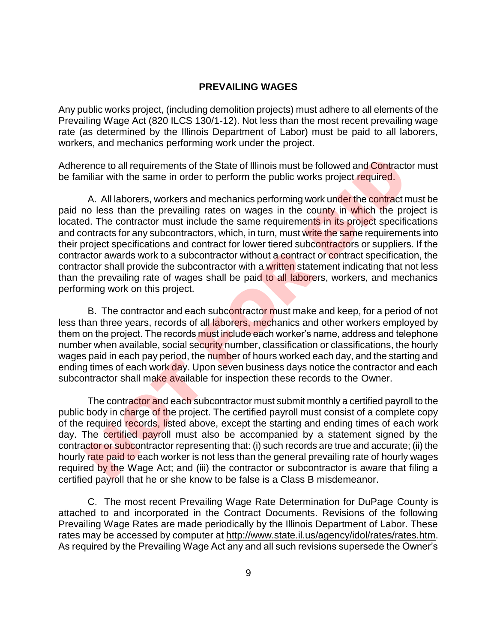#### **PREVAILING WAGES**

Any public works project, (including demolition projects) must adhere to all elements of the Prevailing Wage Act (820 ILCS 130/1-12). Not less than the most recent prevailing wage rate (as determined by the Illinois Department of Labor) must be paid to all laborers, workers, and mechanics performing work under the project.

Adherence to all requirements of the State of Illinois must be followed and Contractor must be familiar with the same in order to perform the public works project required.

A. All laborers, workers and mechanics performing work under the contract must be paid no less than the prevailing rates on wages in the county in which the project is located. The contractor must include the same requirements in its project specifications and contracts for any subcontractors, which, in turn, must write the same requirements into their project specifications and contract for lower tiered subcontractors or suppliers. If the contractor awards work to a subcontractor without a contract or contract specification, the contractor shall provide the subcontractor with a written statement indicating that not less than the prevailing rate of wages shall be paid to all laborers, workers, and mechanics performing work on this project. ence to all requirements of the State of Illinois must be followed and Contract<br>inliar with the same in order to perform the public works project required.<br>A. All laborers, workers and mechanics performing work under the c

B. The contractor and each subcontractor must make and keep, for a period of not less than three years, records of all laborers, mechanics and other workers employed by them on the project. The records must include each worker's name, address and telephone number when available, social security number, classification or classifications, the hourly wages paid in each pay period, the number of hours worked each day, and the starting and ending times of each work day. Upon seven business days notice the contractor and each subcontractor shall make available for inspection these records to the Owner.

The contractor and each subcontractor must submit monthly a certified payroll to the public body in charge of the project. The certified payroll must consist of a complete copy of the required records, listed above, except the starting and ending times of each work day. The certified payroll must also be accompanied by a statement signed by the contractor or subcontractor representing that: (i) such records are true and accurate; (ii) the hourly rate paid to each worker is not less than the general prevailing rate of hourly wages required by the Wage Act; and (iii) the contractor or subcontractor is aware that filing a certified payroll that he or she know to be false is a Class B misdemeanor.

C. The most recent Prevailing Wage Rate Determination for DuPage County is attached to and incorporated in the Contract Documents. Revisions of the following Prevailing Wage Rates are made periodically by the Illinois Department of Labor. These rates may be accessed by computer at http://www.state.il.us/agency/idol/rates/rates.htm. As required by the Prevailing Wage Act any and all such revisions supersede the Owner's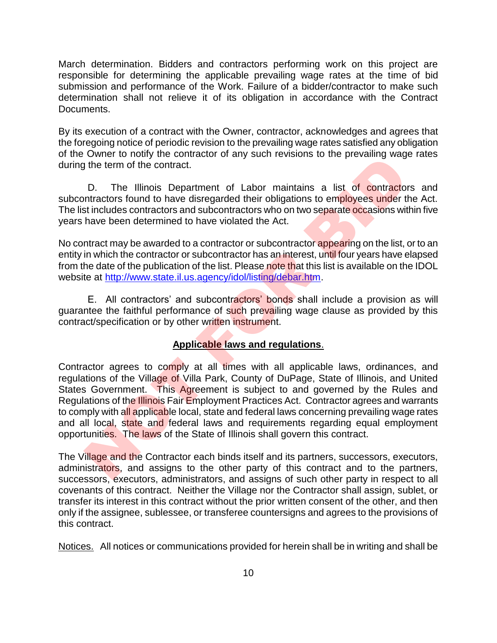March determination. Bidders and contractors performing work on this project are responsible for determining the applicable prevailing wage rates at the time of bid submission and performance of the Work. Failure of a bidder/contractor to make such determination shall not relieve it of its obligation in accordance with the Contract Documents.

By its execution of a contract with the Owner, contractor, acknowledges and agrees that the foregoing notice of periodic revision to the prevailing wage rates satisfied any obligation of the Owner to notify the contractor of any such revisions to the prevailing wage rates during the term of the contract.

D. The Illinois Department of Labor maintains a list of contractors and subcontractors found to have disregarded their obligations to employees under the Act. The list includes contractors and subcontractors who on two separate occasions within five years have been determined to have violated the Act.

No contract may be awarded to a contractor or subcontractor appearing on the list, or to an entity in which the contractor or subcontractor has an interest, until four years have elapsed from the date of the publication of the list. Please note that this list is available on the IDOL website at http://www.state.il.us.agency/idol/listing/debar.htm.

E. All contractors' and subcontractors' bonds shall include a provision as will guarantee the faithful performance of such prevailing wage clause as provided by this contract/specification or by other written instrument.

#### **Applicable laws and regulations**.

Contractor agrees to comply at all times with all applicable laws, ordinances, and regulations of the Village of Villa Park, County of DuPage, State of Illinois, and United States Government. This Agreement is subject to and governed by the Rules and Regulations of the Illinois Fair Employment Practices Act. Contractor agrees and warrants to comply with all applicable local, state and federal laws concerning prevailing wage rates and all local, state and federal laws and requirements regarding equal employment opportunities. The laws of the State of Illinois shall govern this contract. of the term of the contractor of any such revisions to the prevailing wage<br>the term of the contract.<br>D. The Illinois Department of Labor maintains a list of contractor<br>tractors on the contracts and subcontractors who on tw

The Village and the Contractor each binds itself and its partners, successors, executors, administrators, and assigns to the other party of this contract and to the partners, successors, executors, administrators, and assigns of such other party in respect to all covenants of this contract. Neither the Village nor the Contractor shall assign, sublet, or transfer its interest in this contract without the prior written consent of the other, and then only if the assignee, sublessee, or transferee countersigns and agrees to the provisions of this contract.

Notices. All notices or communications provided for herein shall be in writing and shall be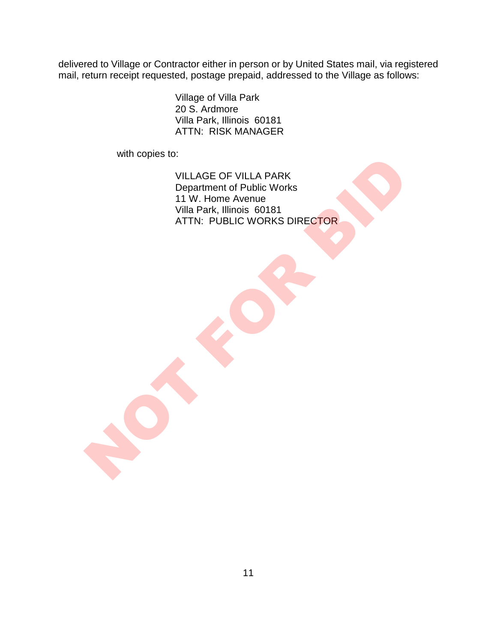delivered to Village or Contractor either in person or by United States mail, via registered mail, return receipt requested, postage prepaid, addressed to the Village as follows:

> Village of Villa Park 20 S. Ardmore Villa Park, Illinois 60181 ATTN: RISK MANAGER

with copies to:

VILLAGE OF VILLA PARK Department of Public Works 11 W. Home Avenue Villa Park, Illinois 60181 ATTN: PUBLIC WORKS DIRECTOR WILLAGE OF VILLA PARK<br>Department of Public Works<br>11 W. Home Avenue<br>ATTN: PUBLIC WORKS DIRECTOR<br>ATTN: PUBLIC WORKS DIRECTOR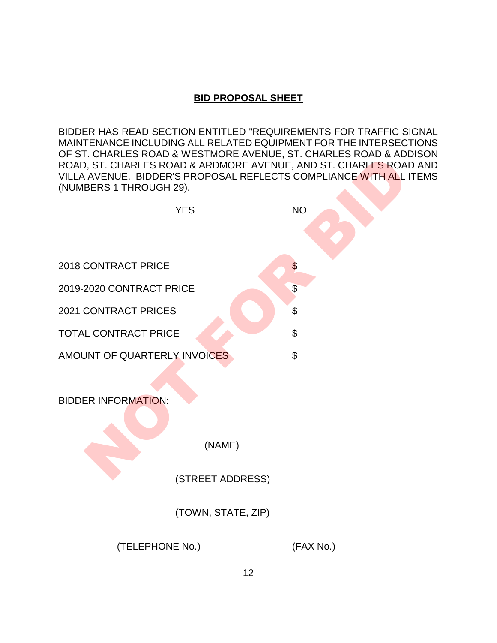#### **BID PROPOSAL SHEET**

BIDDER HAS READ SECTION ENTITLED "REQUIREMENTS FOR TRAFFIC SIGNAL MAINTENANCE INCLUDING ALL RELATED EQUIPMENT FOR THE INTERSECTIONS OF ST. CHARLES ROAD & WESTMORE AVENUE, ST. CHARLES ROAD & ADDISON ROAD, ST. CHARLES ROAD & ARDMORE AVENUE, AND ST. CHARLES ROAD AND VILLA AVENUE. BIDDER'S PROPOSAL REFLECTS COMPLIANCE WITH ALL ITEMS (NUMBERS 1 THROUGH 29).



(TELEPHONE No.) (FAX No.)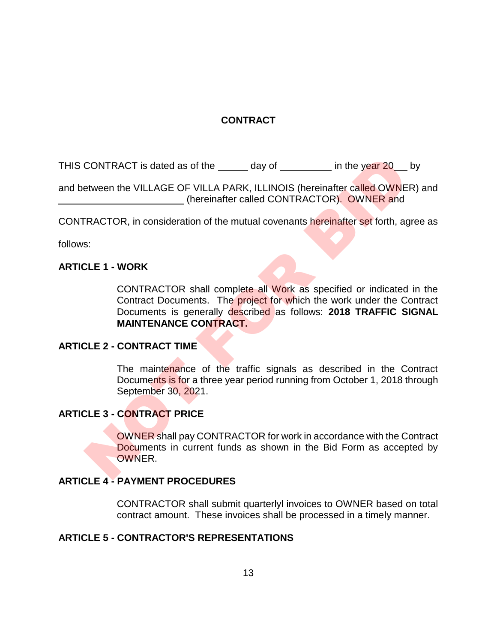#### **CONTRACT**

THIS CONTRACT is dated as of the day of in the year 20 by

and between the VILLAGE OF VILLA PARK, ILLINOIS (hereinafter called OWNER) and (hereinafter called CONTRACTOR). OWNER and

CONTRACTOR, in consideration of the mutual covenants hereinafter set forth, agree as

follows:

#### **ARTICLE 1 - WORK**

CONTRACTOR shall complete all Work as specified or indicated in the Contract Documents. The project for which the work under the Contract Documents is generally described as follows: **2018 TRAFFIC SIGNAL MAINTENANCE CONTRACT.** CONTRACT is dated as of the <u>exactor and the year 20</u><br>
etween the VILLAGE OF VILLA PARK, ILLINOIS (hereinatter called OWNE<br>
(hereinatter called CONTRACTOR). OWNER and<br>
TRACTOR, in consideration of the mutual covenants here

#### **ARTICLE 2 - CONTRACT TIME**

The maintenance of the traffic signals as described in the Contract Documents is for a three year period running from October 1, 2018 through September 30, 2021.

#### **ARTICLE 3 - CONTRACT PRICE**

OWNER shall pay CONTRACTOR for work in accordance with the Contract Documents in current funds as shown in the Bid Form as accepted by OWNER.

#### **ARTICLE 4 - PAYMENT PROCEDURES**

CONTRACTOR shall submit quarterlyl invoices to OWNER based on total contract amount. These invoices shall be processed in a timely manner.

#### **ARTICLE 5 - CONTRACTOR'S REPRESENTATIONS**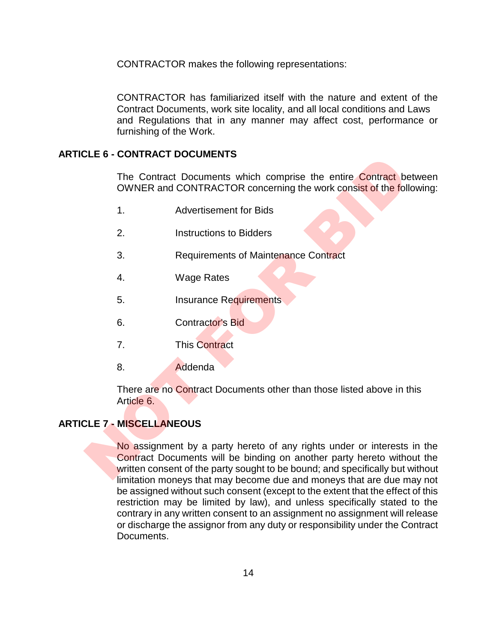CONTRACTOR makes the following representations:

CONTRACTOR has familiarized itself with the nature and extent of the Contract Documents, work site locality, and all local conditions and Laws and Regulations that in any manner may affect cost, performance or furnishing of the Work.

#### **ARTICLE 6 - CONTRACT DOCUMENTS**

The Contract Documents which comprise the entire Contract between OWNER and CONTRACTOR concerning the work consist of the following:

- 1. Advertisement for Bids
- 2. Instructions to Bidders
- 3. Requirements of Maintenance Contract
- 4. Wage Rates
- 5. Insurance Requirements
- 6. Contractor's Bid
- 7. This Contract
- 8. Addenda

There are no Contract Documents other than those listed above in this Article 6.

#### **ARTICLE 7 - MISCELLANEOUS**

No assignment by a party hereto of any rights under or interests in the Contract Documents will be binding on another party hereto without the written consent of the party sought to be bound; and specifically but without limitation moneys that may become due and moneys that are due may not be assigned without such consent (except to the extent that the effect of this restriction may be limited by law), and unless specifically stated to the contrary in any written consent to an assignment no assignment will release or discharge the assignor from any duty or responsibility under the Contract Documents. The Contract Documents which comprise the entire Contract be<br>
OWNER and CONTRACTOR concerning the work consist of the foll<br>
1. Advertisement for Bids<br>
2. Instructions to Bidders<br>
3. Requirements of Maintenance Contract<br>
4.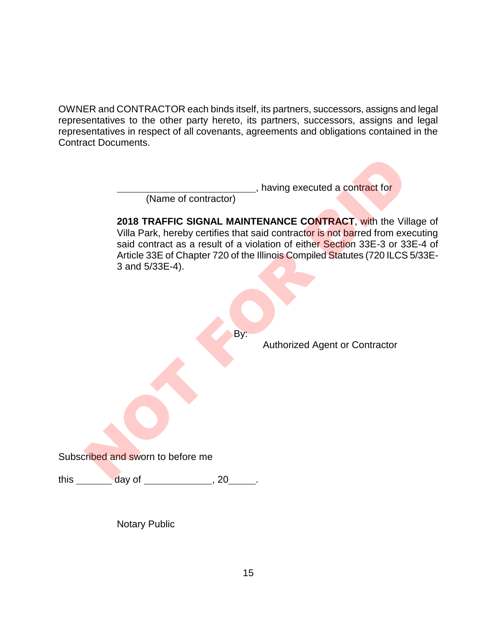OWNER and CONTRACTOR each binds itself, its partners, successors, assigns and legal representatives to the other party hereto, its partners, successors, assigns and legal representatives in respect of all covenants, agreements and obligations contained in the Contract Documents.

**Lacks**, having executed a contract for

(Name of contractor)

**2018 TRAFFIC SIGNAL MAINTENANCE CONTRACT**, with the Village of Villa Park, hereby certifies that said contractor is not barred from executing said contract as a result of a violation of either Section 33E-3 or 33E-4 of Article 33E of Chapter 720 of the Illinois Compiled Statutes (720 ILCS 5/33E-3 and 5/33E-4). (Name of contractor)<br>
(Name of contractor)<br>
2018 TRAFFIC SIGNAL MAINTENANCE CONTRACT, with the Vil<br>
Villa Park, hereby certifies that said contractor is not barred from exact<br>
and contract as a result of a violation of eit

By:

Authorized Agent or Contractor

Subscribed and sworn to before me

this \_\_\_\_\_\_\_\_\_ day of \_\_\_\_\_\_\_\_\_\_\_\_\_\_\_, 20\_\_\_\_\_\_.

Notary Public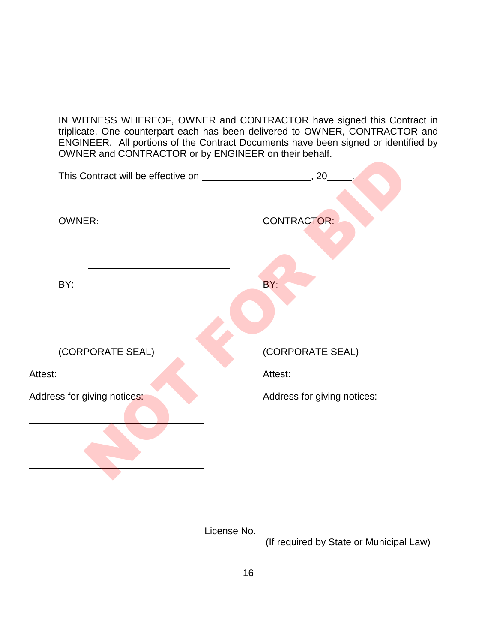IN WITNESS WHEREOF, OWNER and CONTRACTOR have signed this Contract in triplicate. One counterpart each has been delivered to OWNER, CONTRACTOR and ENGINEER. All portions of the Contract Documents have been signed or identified by OWNER and CONTRACTOR or by ENGINEER on their behalf.

| OWNER and OONTHVROTOR OF By ENOINEER OF GIOT DOIT DO |                             |
|------------------------------------------------------|-----------------------------|
|                                                      |                             |
| <b>OWNER:</b>                                        | CONTRACTOR:                 |
| BY:                                                  | BY:                         |
| (CORPORATE SEAL)                                     | (CORPORATE SEAL)            |
| Attest:_____________                                 | Attest:                     |
| Address for giving notices:                          | Address for giving notices: |
|                                                      |                             |
|                                                      |                             |
|                                                      |                             |

License No.

(If required by State or Municipal Law)